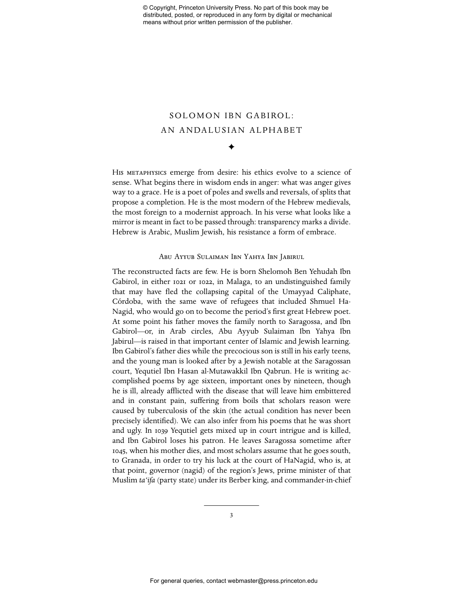# SOLOMON IBN GABIROL: AN ANDALUSIAN ALPHABET

# ✦

HIS METAPHYSICS emerge from desire: his ethics evolve to a science of sense. What begins there in wisdom ends in anger: what was anger gives way to a grace. He is a poet of poles and swells and reversals, of splits that propose a completion. He is the most modern of the Hebrew medievals, the most foreign to a modernist approach. In his verse what looks like a mirror is meant in fact to be passed through: transparency marks a divide. Hebrew is Arabic, Muslim Jewish, his resistance a form of embrace.

## ABU AYYUB SULAIMAN IBN YAHYA IBN JABIRUL

The reconstructed facts are few. He is born Shelomoh Ben Yehudah Ibn Gabirol, in either 1021 or 1022, in Malaga, to an undistinguished family that may have fled the collapsing capital of the Umayyad Caliphate, Córdoba, with the same wave of refugees that included Shmuel Ha-Nagid, who would go on to become the period's first great Hebrew poet. At some point his father moves the family north to Saragossa, and Ibn Gabirol—or, in Arab circles, Abu Ayyub Sulaiman Ibn Yahya Ibn Jabirul—is raised in that important center of Islamic and Jewish learning. Ibn Gabirol's father dies while the precocious son is still in his early teens, and the young man is looked after by a Jewish notable at the Saragossan court, Yequtiel Ibn Hasan al-Mutawakkil Ibn Qabrun. He is writing accomplished poems by age sixteen, important ones by nineteen, though he is ill, already afflicted with the disease that will leave him embittered and in constant pain, suffering from boils that scholars reason were caused by tuberculosis of the skin (the actual condition has never been precisely identified). We can also infer from his poems that he was short and ugly. In 1039 Yequtiel gets mixed up in court intrigue and is killed, and Ibn Gabirol loses his patron. He leaves Saragossa sometime after 1045, when his mother dies, and most scholars assume that he goes south, to Granada, in order to try his luck at the court of HaNagid, who is, at that point, governor (nagid) of the region's Jews, prime minister of that Muslim *ta'ifa* (party state) under its Berber king, and commander-in-chief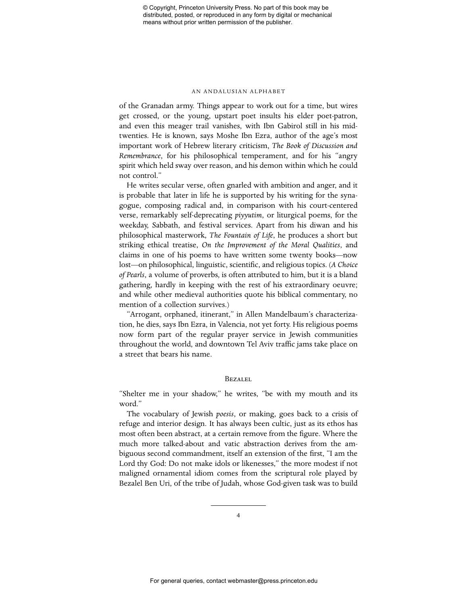## AN ANDALUSIAN ALPHABET

of the Granadan army. Things appear to work out for a time, but wires get crossed, or the young, upstart poet insults his elder poet-patron, and even this meager trail vanishes, with Ibn Gabirol still in his midtwenties. He is known, says Moshe Ibn Ezra, author of the age's most important work of Hebrew literary criticism, *The Book of Discussion and Remembrance*, for his philosophical temperament, and for his "angry spirit which held sway over reason, and his demon within which he could not control."

He writes secular verse, often gnarled with ambition and anger, and it is probable that later in life he is supported by his writing for the synagogue, composing radical and, in comparison with his court-centered verse, remarkably self-deprecating *piyyutim*, or liturgical poems, for the weekday, Sabbath, and festival services. Apart from his diwan and his philosophical masterwork, *The Fountain of Life*, he produces ashort but striking ethical treatise, On the Improvement of the Moral Qualities, and claims in one of his poems to have written some twenty books—now lost—on philosophical, linguistic, scientific, and religious topics. (*AChoice of Pearls*, a volume of proverbs, is often attributed to him, but it is a bland gathering, hardly in keeping with the rest of his extraordinary oeuvre; and while other medieval authorities quote his biblical commentary, no mention of a collection survives.)

"Arrogant, orphaned, itinerant," in Allen Mandelbaum's characterization, he dies, says Ibn Ezra, in Valencia, not yet forty. His religious poems now form part of the regular prayer service in Jewish communities throughout the world, and downtown Tel Aviv traffic jams take place on a street that bears his name.

#### BEZALEL

"Shelter me in your shadow," he writes, "be with my mouth and its word."

The vocabulary of Jewish *poesis*, or making, goes back to a crisis of refuge and interior design. It has always been cultic, just as its ethos has most often been abstract, at a certain remove from the figure. Where the much more talked-about and vatic abstraction derives from the ambiguous second commandment, itself an extension of the first, "I am the Lord thy God: Do not make idols or likenesses," the more modest if not maligned ornamental idiom comes from the scriptural role played by Bezalel Ben Uri, of the tribe of Judah, whose God-given task was to build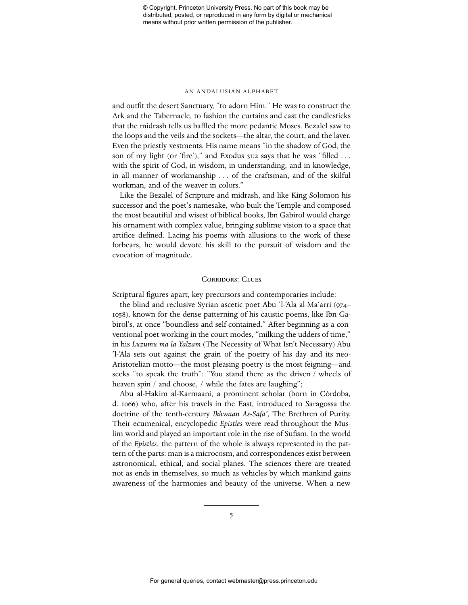#### AN ANDALUSIAN ALPHABET

and outfit the desert Sanctuary, "to adorn Him." He was to construct the Ark and the Tabernacle, to fashion the curtains and cast the candlesticks that the midrash tells us baffled the more pedantic Moses. Bezalel saw to the loops and the veils and the sockets—the altar, the court, and the laver. Even the priestly vestments. His name means "in the shadow of God, the son of my light (or 'fire')," and Exodus 31:2 says that he was "filled ... with the spirit of God, in wisdom, in understanding, and in knowledge, in all manner of workmanship . . . of the craftsman, and of the skilful workman, and of the weaver in colors."

Like the Bezalel of Scripture and midrash, and like King Solomon his successor and the poet's namesake, who built the Temple and composed the most beautiful and wisest of biblical books, Ibn Gabirol would charge his ornament with complex value, bringing sublime vision to a space that artifice defined. Lacing his poems with allusions to the work of these forbears, he would devote his skill to the pursuit of wisdom and the evocation of magnitude.

## CORRIDORS: CLUES

Scriptural figures apart, key precursors and contemporaries include:

the blind and reclusive Syrian ascetic poet Abu 'l-'Ala al-Ma'arri (974– 1058), known for the dense patterning of his caustic poems, like Ibn Gabirol's, at once "boundless and self-contained." After beginning as a conventional poet working in the court modes, "milking the udders of time," in his *Luzumu ma la Yalzam* (The Necessity of What Isn't Necessary) Abu 'l-'Ala sets out against the grain of the poetry of his day and its neo-Aristotelian motto—the most pleasing poetry is the most feigning—and seeks "to speak the truth": "You stand there as the driven / wheels of heaven spin / and choose, / while the fates are laughing";

Abu al-Hakim al-Karmaani, a prominent scholar (born in Córdoba, d. 1066) who, after his travels in the East, introduced to Saragossa the doctrine of the tenth-century *Ikhwaan As-Safa'*, The Brethren of Purity. Their ecumenical, encyclopedic *Epistles* were read throughout the Muslim world and played an important role in the rise of Sufism. In the world of the *Epistles*, the pattern of the whole is always represented in the pattern of the parts: man is a microcosm, and correspondences exist between astronomical, ethical, and social planes. The sciences there are treated not as ends in themselves, so much as vehicles by which mankind gains awareness of the harmonies and beauty of the universe. When a new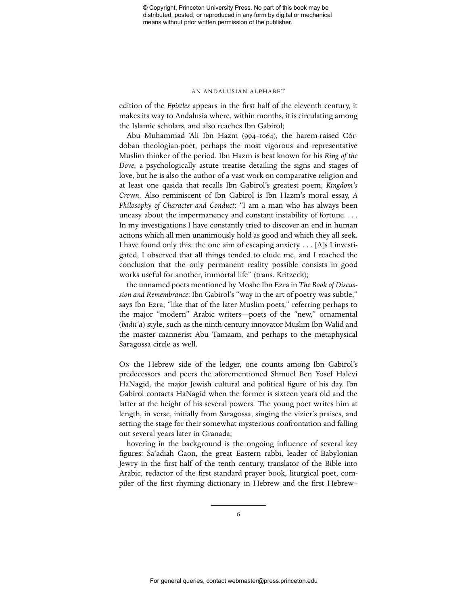# AN ANDALUSIAN ALPHABET

edition of the *Epistles* appears in the first half of the eleventh century, it makes its way to Andalusia where, within months, it is circulating among the Islamic scholars, and also reaches Ibn Gabirol;

Abu Muhammad 'Ali Ibn Hazm (994–1064), the harem-raised Córdoban theologian-poet, perhaps the most vigorous and representative Muslim thinker of the period. Ibn Hazm is best known for his *Ring of the Dove*, a psychologically astute treatise detailing the signs and stages of love, but he is also the author of a vast work on comparative religion and at least one qasida that recalls Ibn Gabirol's greatest poem, *Kingdom's Crown*. Also reminiscent of Ibn Gabirol is Ibn Hazm's moral essay, *A Philosophy of Character and Conduct*: "I am a man who has always been uneasy about the impermanency and constant instability of fortune. . . . In my investigations I have constantly tried to discover an end in human actions which all men unanimously hold as good and which they all seek. I have found only this: the one aim of escaping anxiety.  $\ldots$  [A]s I investigated, I observed that all things tended to elude me, and I reached the conclusion that the only permanent reality possible consists in good works useful for another, immortal life" (trans. Kritzeck);

the unnamed poets mentioned by Moshe Ibn Ezra in *The Book of Discussion and Remembrance*: Ibn Gabirol's "way in the art of poetry was subtle," says Ibn Ezra, "like that of the later Muslim poets," referring perhaps to the major "modern" Arabic writers—poets of the "new," ornamental (*badii'a*) style, such as the ninth-century innovator Muslim Ibn Walid and the master mannerist Abu Tamaam, and perhaps to the metaphysical Saragossa circle as well.

ON the Hebrew side of the ledger, one counts among Ibn Gabirol's predecessors and peers the aforementioned Shmuel Ben Yosef Halevi HaNagid, the major Jewish cultural and political figure of his day. Ibn Gabirol contacts HaNagid when the former is sixteen years old and the latter at the height of his several powers. The young poet writes him at length, in verse, initially from Saragossa, singing the vizier's praises, and setting the stage for their somewhat mysterious confrontation and falling out several years later in Granada;

hovering in the background is the ongoing influence of several key figures: Sa'adiah Gaon, the great Eastern rabbi, leader of Babylonian Jewry in the first half of the tenth century, translator of the Bible into Arabic, redactor of the first standard prayer book, liturgical poet, compiler of the first rhyming dictionary in Hebrew and the first Hebrew–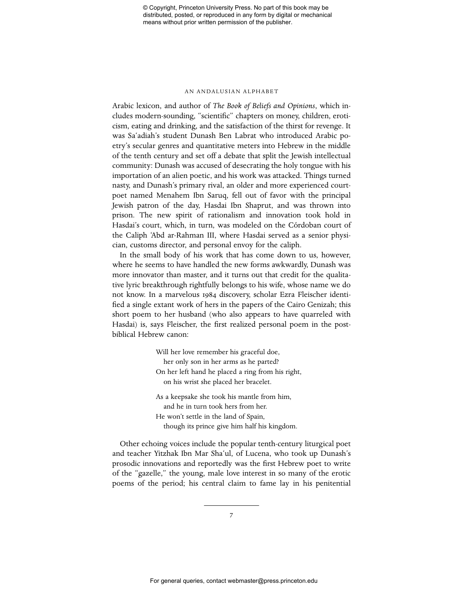# AN ANDALUSIAN ALPHABET

Arabic lexicon, and author of *The Book of Beliefs and Opinions*, which includes modern-sounding, "scientific" chapters on money, children, eroticism, eating and drinking, and the satisfaction of the thirst for revenge. It was Sa'adiah's student Dunash Ben Labrat who introduced Arabic poetry's secular genres and quantitative meters into Hebrew in the middle of the tenth century and set off a debate that split the Jewish intellectual community: Dunash was accused of desecrating the holy tongue with his importation of an alien poetic, and his work was attacked. Things turned nasty, and Dunash's primary rival, an older and more experienced courtpoet named Menahem Ibn Saruq, fell out of favor with the principal Jewish patron of the day, Hasdai Ibn Shaprut, and was thrown into prison. The new spirit of rationalism and innovation took hold in Hasdai's court, which, in turn, was modeled on the Córdoban court of the Caliph 'Abd ar-Rahman III, where Hasdai served as a senior physician, customs director, and personal envoy for the caliph.

In the small body of his work that has come down to us, however, where he seems to have handled the new forms awkwardly, Dunash was more innovator than master, and it turns out that credit for the qualitative lyric breakthrough rightfully belongs to his wife, whose name we do not know. In amarvelous 1984 discovery, scholar Ezra Fleischer identified a single extant work of hers in the papers of the Cairo Genizah; this short poem to her husband (who also appears to have quarreled with Hasdai) is, says Fleischer, the first realized personal poem in the postbiblical Hebrew canon:

> Will her love remember his graceful doe, her only son in her arms as he parted? On her left hand he placed a ring from his right, on his wrist she placed her bracelet. As a keepsake she took his mantle from him,

and he in turn took hers from her. He won't settle in the land of Spain, though its prince give him half his kingdom.

Other echoing voices include the popular tenth-century liturgical poet and teacher Yitzhak Ibn Mar Sha'ul, of Lucena, who took up Dunash's prosodic innovations and reportedly was the first Hebrew poet to write of the "gazelle," the young, male love interest in so many of the erotic poems of the period; his central claim to fame lay in his penitential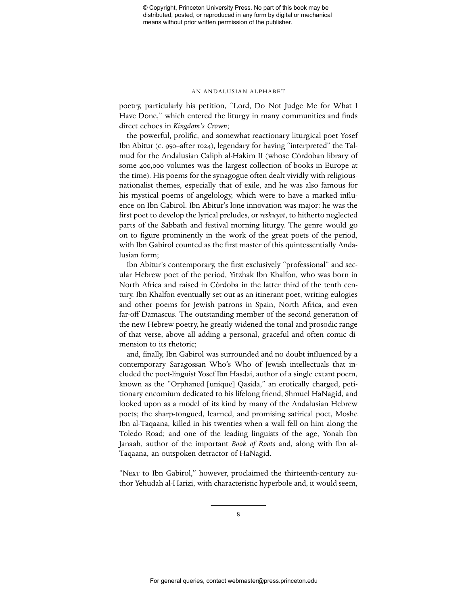## AN ANDALUSIAN ALPHABET

poetry, particularly his petition, "Lord, Do Not Judge Me for What I Have Done," which entered the liturgy in many communities and finds direct echoes in *Kingdom's Crown*;

the powerful, prolific, and somewhat reactionary liturgical poet Yosef Ibn Abitur (c. 950–after 1024), legendary for having "interpreted" the Talmud for the Andalusian Caliph al-Hakim II (whose Córdoban library of some 400,000 volumes was the largest collection of books in Europe at the time). His poems for the synagogue often dealt vividly with religiousnationalist themes, especially that of exile, and he was also famous for his mystical poems of angelology, which were to have a marked influence on Ibn Gabirol. Ibn Abitur's lone innovation was major: he was the first poet to develop the lyrical preludes, or *reshuyot*, to hitherto neglected parts of the Sabbath and festival morning liturgy. The genre would go on to figure prominently in the work of the great poets of the period, with Ibn Gabirol counted as the first master of this quintessentially Andalusian form;

Ibn Abitur's contemporary, the first exclusively "professional" and secular Hebrew poet of the period, Yitzhak Ibn Khalfon, who was born in North Africa and raised in Córdoba in the latter third of the tenth century. Ibn Khalfon eventually set out as an itinerant poet, writing eulogies and other poems for Jewish patrons in Spain, North Africa, and even far-off Damascus. The outstanding member of the second generation of the new Hebrew poetry, he greatly widened the tonal and prosodic range of that verse, above all adding a personal, graceful and often comic dimension to its rhetoric;

and, finally, Ibn Gabirol was surrounded and no doubt influenced by a contemporary Saragossan Who's Who of Jewish intellectuals that included the poet-linguist Yosef Ibn Hasdai, author of a single extant poem, known as the "Orphaned [unique] Qasida," an erotically charged, petitionary encomium dedicated to his lifelong friend, Shmuel HaNagid, and looked upon as a model of its kind by many of the Andalusian Hebrew poets; the sharp-tongued, learned, and promising satirical poet, Moshe Ibn al-Taqaana, killed in his twenties when a wall fell on him along the Toledo Road; and one of the leading linguists of the age, Yonah Ibn Janaah, author of the important *Book of Roots* and, along with Ibn al-Taqaana, an outspoken detractor of HaNagid.

"NEXT to Ibn Gabirol," however, proclaimed the thirteenth-century author Yehudah al-Harizi, with characteristic hyperbole and, it would seem,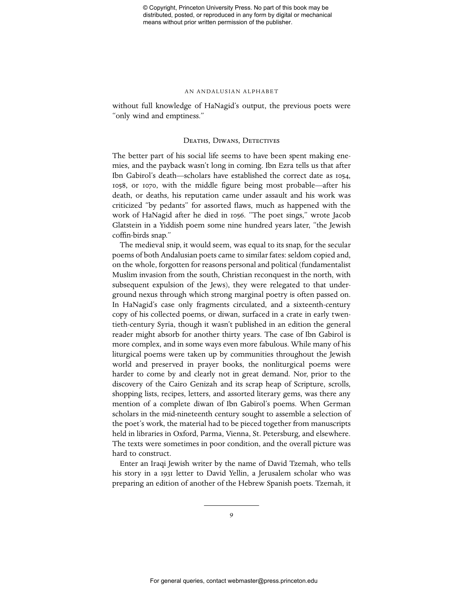## AN ANDALUSIAN ALPHABET

without full knowledge of HaNagid's output, the previous poets were "only wind and emptiness."

## DEATHS, DIWANS, DETECTIVES

The better part of his social life seems to have been spent making enemies, and the payback wasn't long in coming. Ibn Ezra tells us that after Ibn Gabirol's death—scholars have established the correct date as 1054, 1058, or 1070, with the middle figure being most probable—after his death, or deaths, his reputation came under assault and his work was criticized "by pedants" for assorted flaws, much as happened with the work of HaNagid after he died in 1056. "The poet sings," wrote Jacob Glatstein in a Yiddish poem some nine hundred years later, "the Jewish coffin-birds snap."

The medieval snip, it would seem, was equal to its snap, for the secular poems of both Andalusian poets came to similar fates: seldom copied and, on the whole, forgotten for reasons personal and political (fundamentalist Muslim invasion from the south, Christian reconquest in the north, with subsequent expulsion of the Jews), they were relegated to that underground nexus through which strong marginal poetry is often passed on. In HaNagid's case only fragments circulated, and a sixteenth-century copy of his collected poems, or diwan, surfaced in a crate in early twentieth-century Syria, though it wasn't published in an edition the general reader might absorb for another thirty years. The case of Ibn Gabirol is more complex, and in some ways even more fabulous. While many of his liturgical poems were taken up by communities throughout the Jewish world and preserved in prayer books, the nonliturgical poems were harder to come by and clearly not in great demand. Nor, prior to the discovery of the Cairo Genizah and its scrap heap of Scripture, scrolls, shopping lists, recipes, letters, and assorted literary gems, was there any mention of a complete diwan of Ibn Gabirol's poems. When German scholars in the mid-nineteenth century sought to assemble a selection of the poet's work, the material had to be pieced together from manuscripts held in libraries in Oxford, Parma, Vienna, St. Petersburg, and elsewhere. The texts were sometimes in poor condition, and the overall picture was hard to construct.

Enter an Iraqi Jewish writer by the name of David Tzemah, who tells his story in a 1931 letter to David Yellin, a Jerusalem scholar who was preparing an edition of another of the Hebrew Spanish poets. Tzemah, it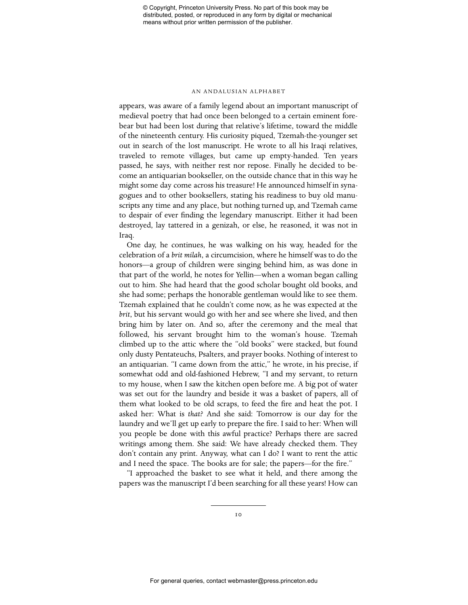## AN ANDALUSIAN ALPHABET

appears, was aware of a family legend about an important manuscript of medieval poetry that had once been belonged to a certain eminent forebear but had been lost during that relative's lifetime, toward the middle of the nineteenth century. His curiosity piqued, Tzemah-the-younger set out in search of the lost manuscript. He wrote to all his Iraqi relatives, traveled to remote villages, but came up empty-handed. Ten years passed, he says, with neither rest nor repose. Finally he decided to become an antiquarian bookseller, on the outside chance that in this way he might some day come across his treasure! He announced himself in synagogues and to other booksellers, stating his readiness to buy old manuscripts any time and any place, but nothing turned up, and Tzemah came to despair of ever finding the legendary manuscript. Either it had been destroyed, lay tattered in a genizah, or else, he reasoned, it was not in Iraq.

One day, he continues, he was walking on his way, headed for the celebration of a *brit milah*, acircumcision, where he himself was to do the honors—a group of children were singing behind him, as was done in that part of the world, he notes for Yellin—when a woman began calling out to him. She had heard that the good scholar bought old books, and she had some; perhaps the honorable gentleman would like to see them. Tzemah explained that he couldn't come now, as he was expected at the *brit*, but his servant would go with her and see where she lived, and then bring him by later on. And so, after the ceremony and the meal that followed, his servant brought him to the woman's house. Tzemah climbed up to the attic where the "old books" were stacked, but found only dusty Pentateuchs, Psalters, and prayer books. Nothing of interest to an antiquarian. "I came down from the attic," he wrote, in his precise, if somewhat odd and old-fashioned Hebrew, "I and my servant, to return to my house, when I saw the kitchen open before me. A big pot of water was set out for the laundry and beside it was a basket of papers, all of them what looked to be old scraps, to feed the fire and heat the pot. I asked her: What is *that?* And she said: Tomorrow is our day for the laundry and we'll get up early to prepare the fire. I said to her: When will you people be done with this awful practice? Perhaps there are sacred writings among them. She said: We have already checked them. They don't contain any print. Anyway, what can I do? I want to rent the attic and I need the space. The books are for sale; the papers—for the fire."

"I approached the basket to see what it held, and there among the papers was the manuscript I'd been searching for all these years! How can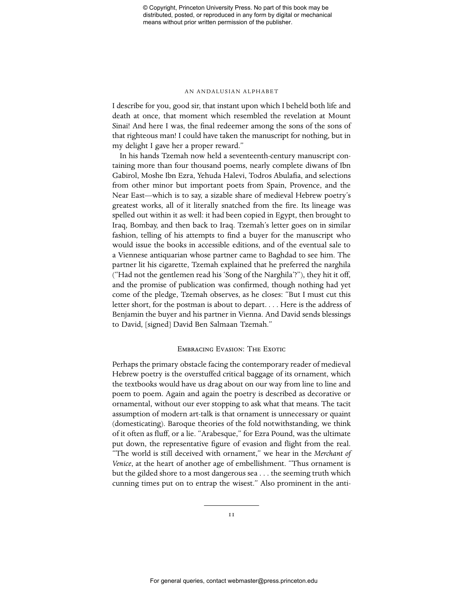## AN ANDALUSIAN ALPHABET

I describe for you, good sir, that instant upon which I beheld both life and death at once, that moment which resembled the revelation at Mount Sinai! And here I was, the final redeemer among the sons of the sons of that righteous man! I could have taken the manuscript for nothing, but in my delight I gave her a proper reward."

In his hands Tzemah now held a seventeenth-century manuscript containing more than four thousand poems, nearly complete diwans of Ibn Gabirol, Moshe Ibn Ezra, Yehuda Halevi, Todros Abulafia, and selections from other minor but important poets from Spain, Provence, and the Near East—which is to say, a sizable share of medieval Hebrew poetry's greatest works, all of it literally snatched from the fire. Its lineage was spelled out within it as well: it had been copied in Egypt, then brought to Iraq, Bombay, and then back to Iraq. Tzemah's letter goes on in similar fashion, telling of his attempts to find a buyer for the manuscript who would issue the books in accessible editions, and of the eventual sale to a Viennese antiquarian whose partner came to Baghdad to see him. The partner lit his cigarette, Tzemah explained that he preferred the narghila ("Had not the gentlemen read his 'Song of the Narghila'?"), they hit it off, and the promise of publication was confirmed, though nothing had yet come of the pledge, Tzemah observes, as he closes: "But I must cut this letter short, for the postman is about to depart. . . . Here is the address of Benjamin the buyer and his partner in Vienna. And David sends blessings to David, [signed] David Ben Salmaan Tzemah."

## EMBRACING EVASION: THE EXOTIC

Perhaps the primary obstacle facing the contemporary reader of medieval Hebrew poetry is the overstuffed critical baggage of its ornament, which the textbooks would have us drag about on our way from line to line and poem to poem. Again and again the poetry is described as decorative or ornamental, without our ever stopping to ask what that means. The tacit assumption of modern art-talk is that ornament is unnecessary or quaint (domesticating). Baroque theories of the fold notwithstanding, we think of it often as fluff, or a lie. "Arabesque," for Ezra Pound, was the ultimate put down, the representative figure of evasion and flight from the real. "The world is still deceived with ornament," we hear in the *Merchant of Venice*, at the heart of another age of embellishment. "Thus ornament is but the gilded shore to a most dangerous sea... the seeming truth which cunning times put on to entrap the wisest." Also prominent in the anti-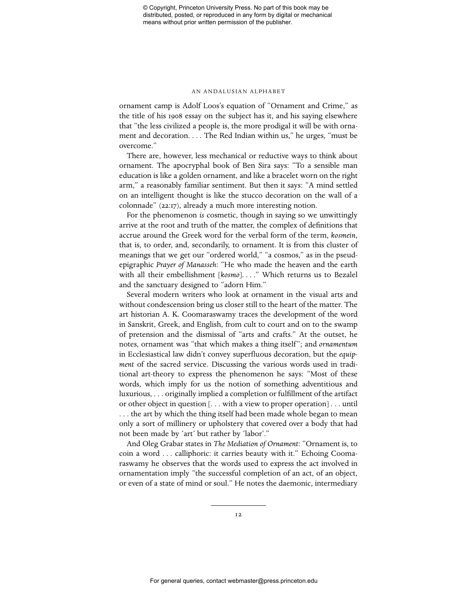## AN ANDALUSIAN ALPHABET

ornament camp is Adolf Loos's equation of "Ornament and Crime," as the title of his 1908 essay on the subject has it, and his saying elsewhere that "the less civilized a people is, the more prodigal it will be with ornament and decoration. . . . The Red Indian within us," he urges, "must be overcome."

There are, however, less mechanical or reductive ways to think about ornament. The apocryphal book of Ben Sira says: "To a sensible man education is like a golden ornament, and like a bracelet worn on the right arm," a reasonably familiar sentiment. But then it says: "A mind settled on an intelligent thought is like the stucco decoration on the wall of a colonnade" (22:17), already a much more interesting notion.

For the phenomenon *is* cosmetic, though in saying so we unwittingly arrive at the root and truth of the matter, the complex of definitions that accrue around the Greek word for the verbal form of the term, *kosmein*, that is, to order, and, secondarily, to ornament. It is from this cluster of meanings that we get our "ordered world," "a cosmos," as in the pseudepigraphic *Prayer of Manasseh*: "He who made the heaven and the earth with all their embellishment [*kosmo*]. . . ." Which returns us to Bezalel and the sanctuary designed to "adorn Him."

Several modern writers who look at ornament in the visual arts and without condescension bring us closer still to the heart of the matter. The art historian A. K. Coomaraswamy traces the development of the word in Sanskrit, Greek, and English, from cult to court and on to the swamp of pretension and the dismissal of "arts and crafts." At the outset, he notes, ornament was "that which makes a thing itself "; and *ornamentum* in Ecclesiastical law didn't convey superfluous decoration, but the *equipment* of the sacred service. Discussing the various words used in traditional art-theory to express the phenomenon he says: "Most of these words, which imply for us the notion of something adventitious and luxurious, . . . originally implied a completion or fulfillment of the artifact or other object in question [. . . with aview to proper operation] . . . until . . . the art by which the thing itself had been made whole began to mean only a sort of millinery or upholstery that covered over a body that had not been made by 'art' but rather by 'labor'."

And Oleg Grabar states in *The Mediation of Ornament*: "Ornament is, to coin a word . . . calliphoric: it carries beauty with it." Echoing Coomaraswamy he observes that the words used to express the act involved in ornamentation imply "the successful completion of an act, of an object, or even of astate of mind or soul." He notes the daemonic, intermediary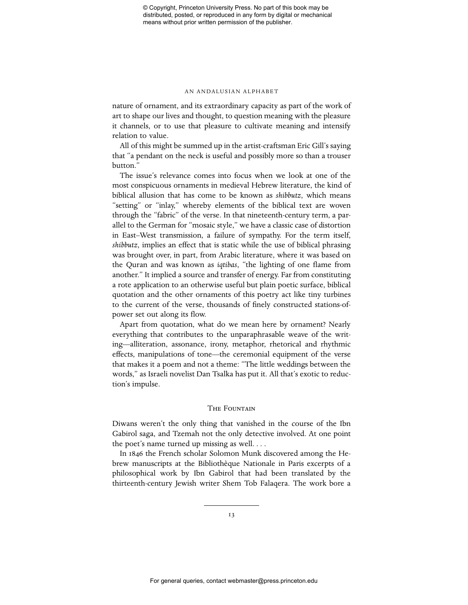## AN ANDALUSIAN ALPHABET

nature of ornament, and its extraordinary capacity as part of the work of art to shape our lives and thought, to question meaning with the pleasure it channels, or to use that pleasure to cultivate meaning and intensify relation to value.

All of this might be summed up in the artist-craftsman Eric Gill's saying that "a pendant on the neck is useful and possibly more so than a trouser button."

The issue's relevance comes into focus when we look at one of the most conspicuous ornaments in medieval Hebrew literature, the kind of biblical allusion that has come to be known as *shibbutz*, which means "setting" or "inlay," whereby elements of the biblical text are woven through the "fabric" of the verse. In that nineteenth-century term, a parallel to the German for "mosaic style," we have a classic case of distortion in East–West transmission, a failure of sympathy. For the term itself, *shibbutz*, implies an effect that is static while the use of biblical phrasing was brought over, in part, from Arabic literature, where it was based on the Quran and was known as *iqtibas*, "the lighting of one flame from another." It implied a source and transfer of energy. Far from constituting a rote application to an otherwise useful but plain poetic surface, biblical quotation and the other ornaments of this poetry act like tiny turbines to the current of the verse, thousands of finely constructed stations-ofpower set out along its flow.

Apart from quotation, what do we mean here by ornament? Nearly everything that contributes to the unparaphrasable weave of the writing—alliteration, assonance, irony, metaphor, rhetorical and rhythmic effects, manipulations of tone—the ceremonial equipment of the verse that makes it a poem and not a theme: "The little weddings between the words," as Israeli novelist Dan Tsalka has put it. All that's exotic to reduction's impulse.

#### THE FOUNTAIN

Diwans weren't the only thing that vanished in the course of the Ibn Gabirol saga, and Tzemah not the only detective involved. At one point the poet's name turned up missing as well. . . .

In 1846 the French scholar Solomon Munk discovered among the Hebrew manuscripts at the Bibliothèque Nationale in Paris excerpts of a philosophical work by Ibn Gabirol that had been translated by the thirteenth-century Jewish writer Shem Tob Falaqera. The work bore a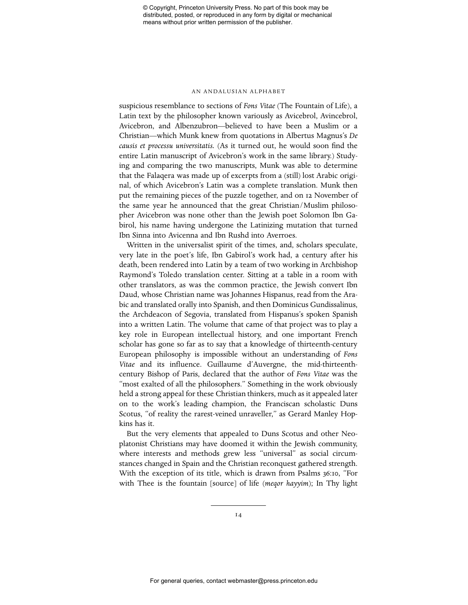# AN ANDALUSIAN ALPHABET

suspicious resemblance to sections of *Fons Vitae* (The Fountain of Life), a Latin text by the philosopher known variously as Avicebrol, Avincebrol, Avicebron, and Albenzubron—believed to have been a Muslim or a Christian—which Munk knew from quotations in Albertus Magnus's *De causis et processu universitatis.* (As it turned out, he would soon find the entire Latin manuscript of Avicebron's work in the same library.) Studying and comparing the two manuscripts, Munk was able to determine that the Falaqera was made up of excerpts from a (still) lost Arabic original, of which Avicebron's Latin was a complete translation. Munk then put the remaining pieces of the puzzle together, and on 12 November of the same year he announced that the great Christian/Muslim philosopher Avicebron was none other than the Jewish poet Solomon Ibn Gabirol, his name having undergone the Latinizing mutation that turned Ibn Sinna into Avicenna and Ibn Rushd into Averroes.

Written in the universalist spirit of the times, and, scholars speculate, very late in the poet's life, Ibn Gabirol's work had, a century after his death, been rendered into Latin by a team of two working in Archbishop Raymond's Toledo translation center. Sitting at a table in a room with other translators, as was the common practice, the Jewish convert Ibn Daud, whose Christian name was Johannes Hispanus, read from the Arabic and translated orally into Spanish, and then Dominicus Gundissalinus, the Archdeacon of Segovia, translated from Hispanus's spoken Spanish into a written Latin. The volume that came of that project was to play a key role in European intellectual history, and one important French scholar has gone so far as to say that a knowledge of thirteenth-century European philosophy is impossible without an understanding of *Fons Vitae* and its influence. Guillaume d'Auvergne, the mid-thirteenthcentury Bishop of Paris, declared that the author of *Fons Vitae* was the "most exalted of all the philosophers." Something in the work obviously held a strong appeal for these Christian thinkers, much as it appealed later on to the work's leading champion, the Franciscan scholastic Duns Scotus, "of reality the rarest-veined unraveller," as Gerard Manley Hopkins has it.

But the very elements that appealed to Duns Scotus and other Neoplatonist Christians may have doomed it within the Jewish community, where interests and methods grew less "universal" as social circumstances changed in Spain and the Christian reconquest gathered strength. With the exception of its title, which is drawn from Psalms 36:10, "For with Thee is the fountain [source] of life (*meqor hayyim*); In Thy light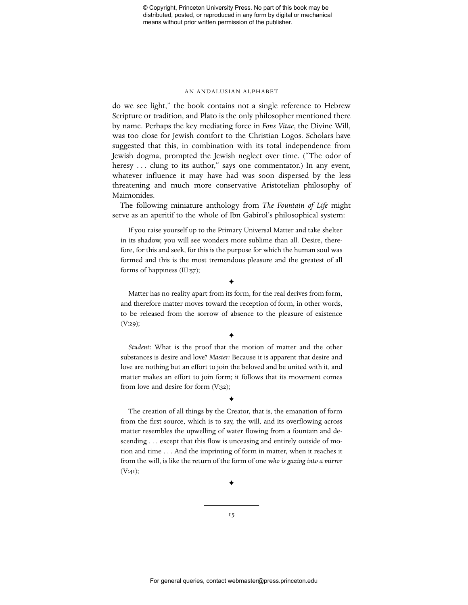# AN ANDALUSIAN ALPHABET

do we see light," the book contains not a single reference to Hebrew Scripture or tradition, and Plato is the only philosopher mentioned there by name. Perhaps the key mediating force in *Fons Vitae*, the Divine Will, was too close for Jewish comfort to the Christian Logos. Scholars have suggested that this, in combination with its total independence from Jewish dogma, prompted the Jewish neglect over time. ("The odor of heresy ... clung to its author," says one commentator.) In any event, whatever influence it may have had was soon dispersed by the less threatening and much more conservative Aristotelian philosophy of Maimonides.

The following miniature anthology from *The Fountain of Life* might serve as an aperitif to the whole of Ibn Gabirol's philosophical system:

If you raise yourself up to the Primary Universal Matter and take shelter in its shadow, you will see wonders more sublime than all. Desire, therefore, for this and seek, for this is the purpose for which the human soul was formed and this is the most tremendous pleasure and the greatest of all forms of happiness (III:57);

✦

Matter has no reality apart from its form, for the real derives from form, and therefore matter moves toward the reception of form, in other words, to be released from the sorrow of absence to the pleasure of existence (V:29);

✦

*Student:* What is the proof that the motion of matter and the other substances is desire and love? *Master:* Because it is apparent that desire and love are nothing but an effort to join the beloved and be united with it, and matter makes an effort to join form; it follows that its movement comes from love and desire for form (V:32);

#### ✦

The creation of all things by the Creator, that is, the emanation of form from the first source, which is to say, the will, and its overflowing across matter resembles the upwelling of water flowing from a fountain and descending . . . except that this flow is unceasing and entirely outside of motion and time . . . And the imprinting of form in matter, when it reaches it from the will, is like the return of the form of one *who is gazing into a mirror* (V:41);

✦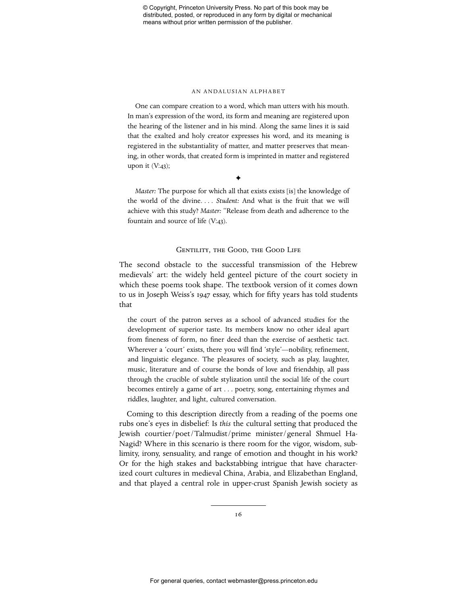## AN ANDALUSIAN ALPHABET

One can compare creation to a word, which man utters with his mouth. In man's expression of the word, its form and meaning are registered upon the hearing of the listener and in his mind. Along the same lines it is said that the exalted and holy creator expresses his word, and its meaning is registered in the substantiality of matter, and matter preserves that meaning, in other words, that created form is imprinted in matter and registered upon it  $(V:43)$ ;

✦

*Master:* The purpose for which all that exists exists [is] the knowledge of the world of the divine. . . . *Student:* And what is the fruit that we will achieve with this study? *Master:* "Release from death and adherence to the fountain and source of life (V:43).

#### GENTILITY, THE GOOD, THE GOOD LIFE

The second obstacle to the successful transmission of the Hebrew medievals' art: the widely held genteel picture of the court society in which these poems took shape. The textbook version of it comes down to us in Joseph Weiss's 1947 essay, which for fifty years has told students that

the court of the patron serves as a school of advanced studies for the development of superior taste. Its members know no other ideal apart from fineness of form, no finer deed than the exercise of aesthetic tact. Wherever a'court' exists, there you will find 'style'—nobility, refinement, and linguistic elegance. The pleasures of society, such as play, laughter, music, literature and of course the bonds of love and friendship, all pass through the crucible of subtle stylization until the social life of the court becomes entirely a game of art . . . poetry, song, entertaining rhymes and riddles, laughter, and light, cultured conversation.

Coming to this description directly from a reading of the poems one rubs one's eyes in disbelief: Is *this* the cultural setting that produced the Jewish courtier/poet/Talmudist/prime minister/general Shmuel Ha-Nagid? Where in this scenario is there room for the vigor, wisdom, sublimity, irony, sensuality, and range of emotion and thought in his work? Or for the high stakes and backstabbing intrigue that have characterized court cultures in medieval China, Arabia, and Elizabethan England, and that played a central role in upper-crust Spanish Jewish society as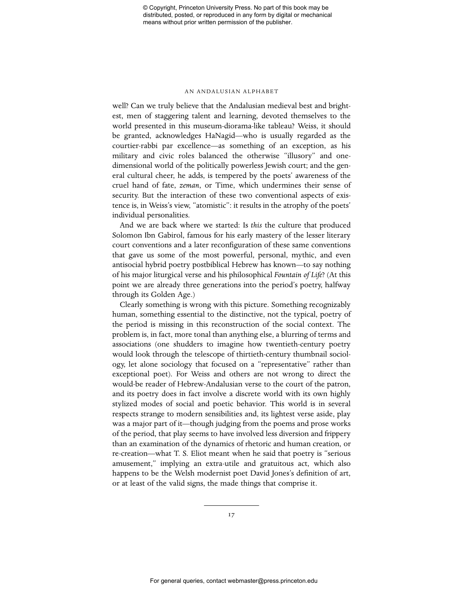## AN ANDALUSIAN ALPHABET

well? Can we truly believe that the Andalusian medieval best and brightest, men of staggering talent and learning, devoted themselves to the world presented in this museum-diorama-like tableau? Weiss, it should be granted, acknowledges HaNagid—who is usually regarded as the courtier-rabbi par excellence—as something of an exception, as his military and civic roles balanced the otherwise "illusory" and onedimensional world of the politically powerless Jewish court; and the general cultural cheer, he adds, is tempered by the poets' awareness of the cruel hand of fate, *zeman*, or Time, which undermines their sense of security. But the interaction of these two conventional aspects of existence is, in Weiss's view, "atomistic": it results in the atrophy of the poets' individual personalities.

And we are back where we started: Is *this* the culture that produced Solomon Ibn Gabirol, famous for his early mastery of the lesser literary court conventions and a later reconfiguration of these same conventions that gave us some of the most powerful, personal, mythic, and even antisocial hybrid poetry postbiblical Hebrew has known—to say nothing of his major liturgical verse and his philosophical *Fountain of Life*? (At this point we are already three generations into the period's poetry, halfway through its Golden Age.)

Clearly something is wrong with this picture. Something recognizably human, something essential to the distinctive, not the typical, poetry of the period is missing in this reconstruction of the social context. The problem is, in fact, more tonal than anything else, a blurring of terms and associations (one shudders to imagine how twentieth-century poetry would look through the telescope of thirtieth-century thumbnail sociology, let alone sociology that focused on a "representative" rather than exceptional poet). For Weiss and others are not wrong to direct the would-be reader of Hebrew-Andalusian verse to the court of the patron, and its poetry does in fact involve a discrete world with its own highly stylized modes of social and poetic behavior. This world is in several respects strange to modern sensibilities and, its lightest verse aside, play was a major part of it—though judging from the poems and prose works of the period, that play seems to have involved less diversion and frippery than an examination of the dynamics of rhetoric and human creation, or re-creation—what T. S. Eliot meant when he said that poetry is "serious amusement," implying an extra-utile and gratuitous act, which also happens to be the Welsh modernist poet David Jones's definition of art, or at least of the valid signs, the made things that comprise it.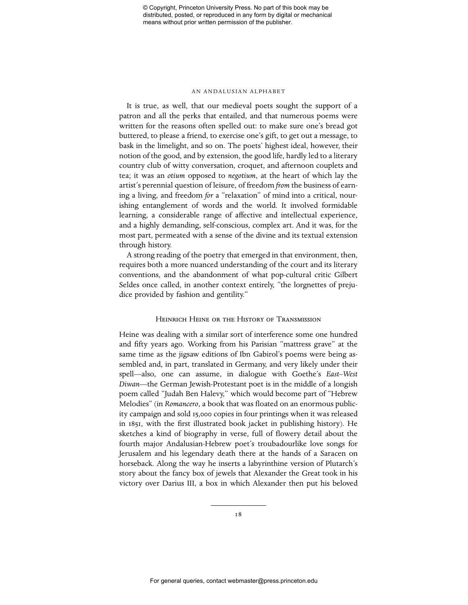## AN ANDALUSIAN ALPHABET

It is true, as well, that our medieval poets sought the support of a patron and all the perks that entailed, and that numerous poems were written for the reasons often spelled out: to make sure one's bread got buttered, to please a friend, to exercise one's gift, to get out a message, to bask in the limelight, and so on. The poets' highest ideal, however, their notion of the good, and by extension, the good life, hardly led to a literary country club of witty conversation, croquet, and afternoon couplets and tea; it was an *otium* opposed to *negotium*, at the heart of which lay the artist's perennial question of leisure, of freedom *from* the business of earning a living, and freedom *for* a "relaxation" of mind into a critical, nourishing entanglement of words and the world. It involved formidable learning, a considerable range of affective and intellectual experience, and a highly demanding, self-conscious, complex art. And it was, for the most part, permeated with a sense of the divine and its textual extension through history.

A strong reading of the poetry that emerged in that environment, then, requires both a more nuanced understanding of the court and its literary conventions, and the abandonment of what pop-cultural critic Gilbert Seldes once called, in another context entirely, "the lorgnettes of prejudice provided by fashion and gentility."

# HEINRICH HEINE OR THE HISTORY OF TRANSMISSION

Heine was dealing with a similar sort of interference some one hundred and fifty years ago. Working from his Parisian "mattress grave" at the same time as the jigsaw editions of Ibn Gabirol's poems were being assembled and, in part, translated in Germany, and very likely under their spell—also, one can assume, in dialogue with Goethe's *East–West Diwan*—the German Jewish-Protestant poet is in the middle of a longish poem called "Judah Ben Halevy," which would become part of "Hebrew Melodies" (in *Romancero*, a book that was floated on an enormous publicity campaign and sold 15,000 copies in four printings when it was released in 1851, with the first illustrated book jacket in publishing history). He sketches a kind of biography in verse, full of flowery detail about the fourth major Andalusian-Hebrew poet's troubadourlike love songs for Jerusalem and his legendary death there at the hands of a Saracen on horseback. Along the way he inserts a labyrinthine version of Plutarch's story about the fancy box of jewels that Alexander the Great took in his victory over Darius III, a box in which Alexander then put his beloved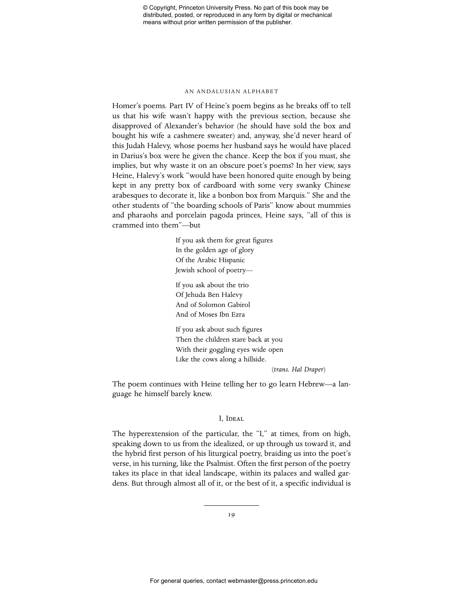## AN ANDALUSIAN ALPHABET

Homer's poems. Part IV of Heine's poem begins as he breaks off to tell us that his wife wasn't happy with the previous section, because she disapproved of Alexander's behavior (he should have sold the box and bought his wife a cashmere sweater) and, anyway, she'd never heard of this Judah Halevy, whose poems her husband says he would have placed in Darius's box were he given the chance. Keep the box if you must, she implies, but why waste it on an obscure poet's poems? In her view, says Heine, Halevy's work "would have been honored quite enough by being kept in any pretty box of cardboard with some very swanky Chinese arabesques to decorate it, like a bonbon box from Marquis." She and the other students of "the boarding schools of Paris" know about mummies and pharaohs and porcelain pagoda princes, Heine says, "all of this is crammed into them"—but

> If you ask them for great figures In the golden age of glory Of the Arabic Hispanic Jewish school of poetry—

If you ask about the trio Of Jehuda Ben Halevy And of Solomon Gabirol And of Moses Ibn Ezra

If you ask about such figures Then the children stare back at you With their goggling eyes wide open Like the cows along a hillside.

(*trans. Hal Draper*)

The poem continues with Heine telling her to go learn Hebrew—a language he himself barely knew.

#### I, IDEAL

The hyperextension of the particular, the "I," at times, from on high, speaking down to us from the idealized, or up through us toward it, and the hybrid first person of his liturgical poetry, braiding us into the poet's verse, in his turning, like the Psalmist. Often the first person of the poetry takes its place in that ideal landscape, within its palaces and walled gardens. But through almost all of it, or the best of it, a specific individual is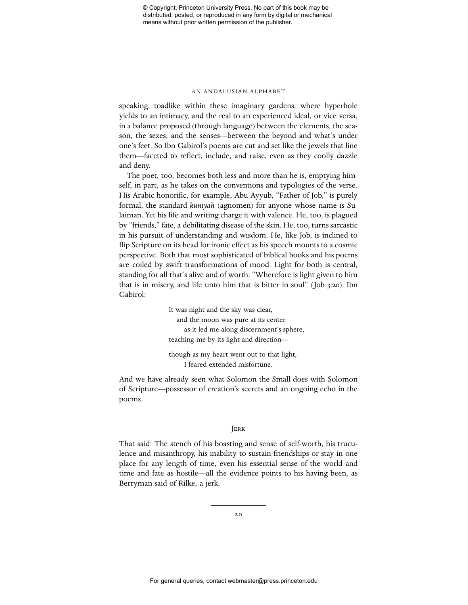# AN ANDALUSIAN ALPHABET

speaking, toadlike within these imaginary gardens, where hyperbole yields to an intimacy, and the real to an experienced ideal, or vice versa, in a balance proposed (through language) between the elements, the season, the sexes, and the senses—between the beyond and what's under one's feet. So Ibn Gabirol's poems are cut and set like the jewels that line them—faceted to reflect, include, and raise, even as they coolly dazzle and deny.

The poet, too, becomes both less and more than he is, emptying himself, in part, as he takes on the conventions and typologies of the verse. His Arabic honorific, for example, Abu Ayyub, "Father of Job," is purely formal, the standard *kuniyah* (agnomen) for anyone whose name is Sulaiman. Yet his life and writing charge it with valence. He, too, is plagued by "friends," fate, a debilitating disease of the skin. He, too, turns sarcastic in his pursuit of understanding and wisdom. He, like Job, is inclined to flip Scripture on its head for ironic effect as his speech mounts to a cosmic perspective. Both that most sophisticated of biblical books and his poems are coiled by swift transformations of mood. Light for both is central, standing for all that's alive and of worth: "Wherefore is light given to him that is in misery, and life unto him that is bitter in soul" (Job 3:20). Ibn Gabirol:

> It was night and the sky was clear, and the moon was pure at its center as it led me along discernment's sphere, teaching me by its light and direction—

though as my heart went out to that light, I feared extended misfortune.

And we have already seen what Solomon the Small does with Solomon of Scripture—possessor of creation's secrets and an ongoing echo in the poems.

#### JERK

That said: The stench of his boasting and sense of self-worth, his truculence and misanthropy, his inability to sustain friendships or stay in one place for any length of time, even his essential sense of the world and time and fate as hostile—all the evidence points to his having been, as Berryman said of Rilke, a jerk.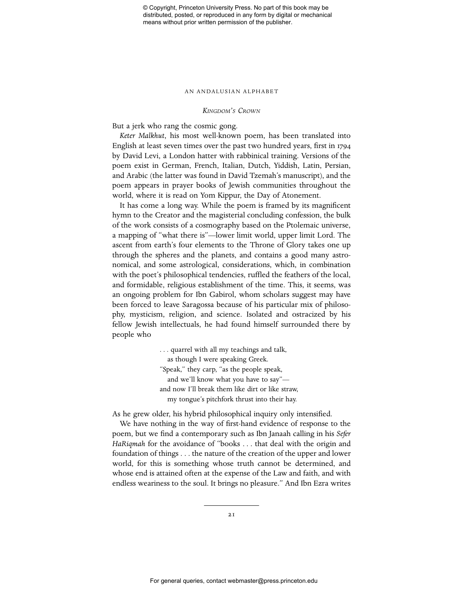## AN ANDALUSIAN ALPHABET

#### *KINGDOM'S CROWN*

But a jerk who rang the cosmic gong.

*Keter Malkhut*, his most well-known poem, has been translated into English at least seven times over the past two hundred years, first in 1794 by David Levi, a London hatter with rabbinical training. Versions of the poem exist in German, French, Italian, Dutch, Yiddish, Latin, Persian, and Arabic (the latter was found in David Tzemah's manuscript), and the poem appears in prayer books of Jewish communities throughout the world, where it is read on Yom Kippur, the Day of Atonement.

It has come a long way. While the poem is framed by its magnificent hymn to the Creator and the magisterial concluding confession, the bulk of the work consists of a cosmography based on the Ptolemaic universe, amapping of "what there is"—lower limit world, upper limit Lord. The ascent from earth's four elements to the Throne of Glory takes one up through the spheres and the planets, and contains a good many astronomical, and some astrological, considerations, which, in combination with the poet's philosophical tendencies, ruffled the feathers of the local, and formidable, religious establishment of the time. This, it seems, was an ongoing problem for Ibn Gabirol, whom scholars suggest may have been forced to leave Saragossa because of his particular mix of philosophy, mysticism, religion, and science. Isolated and ostracized by his fellow Jewish intellectuals, he had found himself surrounded there by people who

> . . . quarrel with all my teachings and talk, as though I were speaking Greek. "Speak," they carp, "as the people speak, and we'll know what you have to say" and now I'll break them like dirt or like straw, my tongue's pitchfork thrust into their hay.

As he grew older, his hybrid philosophical inquiry only intensified.

We have nothing in the way of first-hand evidence of response to the poem, but we find a contemporary such as Ibn Janaah calling in his *Sefer HaRiqmah* for the avoidance of "books . . . that deal with the origin and foundation of things . . . the nature of the creation of the upper and lower world, for this is something whose truth cannot be determined, and whose end is attained often at the expense of the Law and faith, and with endless weariness to the soul. It brings no pleasure." And Ibn Ezra writes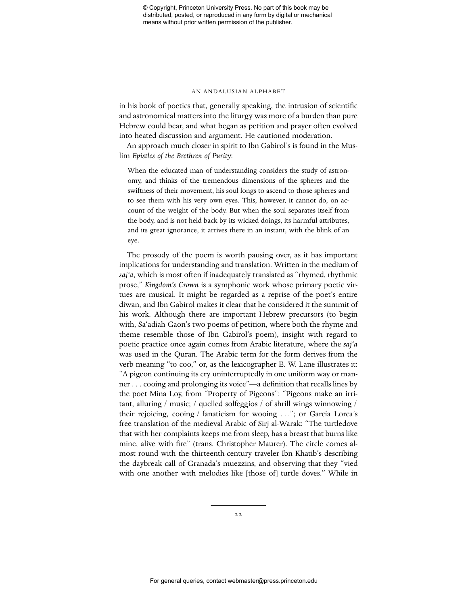# AN ANDALUSIAN ALPHABET

in his book of poetics that, generally speaking, the intrusion of scientific and astronomical matters into the liturgy was more of a burden than pure Hebrew could bear, and what began as petition and prayer often evolved into heated discussion and argument. He cautioned moderation.

An approach much closer in spirit to Ibn Gabirol's is found in the Muslim *Epistles of the Brethren of Purity*:

When the educated man of understanding considers the study of astronomy, and thinks of the tremendous dimensions of the spheres and the swiftness of their movement, his soul longs to ascend to those spheres and to see them with his very own eyes. This, however, it cannot do, on account of the weight of the body. But when the soul separates itself from the body, and is not held back by its wicked doings, its harmful attributes, and its great ignorance, it arrives there in an instant, with the blink of an eye.

The prosody of the poem is worth pausing over, as it has important implications for understanding and translation. Written in the medium of *saj'a*, which is most often if inadequately translated as "rhymed, rhythmic prose," *Kingdom's Crown* is asymphonic work whose primary poetic virtues are musical. It might be regarded as a reprise of the poet's entire diwan, and Ibn Gabirol makes it clear that he considered it the summit of his work. Although there are important Hebrew precursors (to begin with, Sa'adiah Gaon's two poems of petition, where both the rhyme and theme resemble those of Ibn Gabirol's poem), insight with regard to poetic practice once again comes from Arabic literature, where the *saj'a* was used in the Quran. The Arabic term for the form derives from the verb meaning "to coo," or, as the lexicographer E. W. Lane illustrates it: "A pigeon continuing its cry uninterruptedly in one uniform way or manner . . . cooing and prolonging its voice"—a definition that recalls lines by the poet Mina Loy, from "Property of Pigeons": "Pigeons make an irritant, alluring / music; / quelled solfeggios / of shrill wings winnowing / their rejoicing, cooing / fanaticism for wooing . . ."; or García Lorca's free translation of the medieval Arabic of Sirj al-Warak: "The turtledove that with her complaints keeps me from sleep, has a breast that burns like mine, alive with fire" (trans. Christopher Maurer). The circle comes almost round with the thirteenth-century traveler Ibn Khatib's describing the daybreak call of Granada's muezzins, and observing that they "vied with one another with melodies like [those of] turtle doves." While in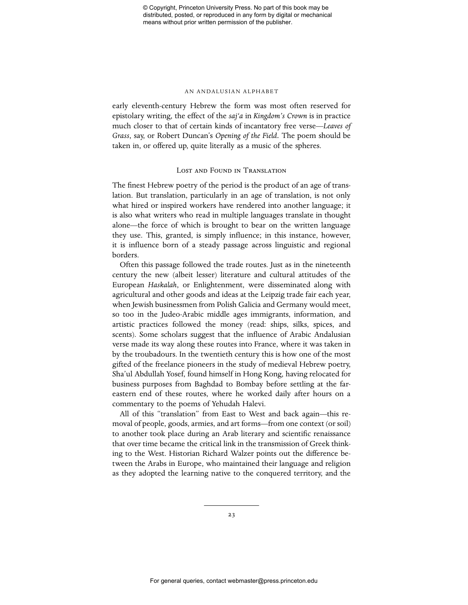## AN ANDALUSIAN ALPHABET

early eleventh-century Hebrew the form was most often reserved for epistolary writing, the effect of the *saj'a* in *Kingdom's Crown* is in practice much closer to that of certain kinds of incantatory free verse—*Leaves of Grass*, say, or Robert Duncan's *Opening of the Field.* The poem should be taken in, or offered up, quite literally as a music of the spheres.

## LOST AND FOUND IN TRANSLATION

The finest Hebrew poetry of the period is the product of an age of translation. But translation, particularly in an age of translation, is not only what hired or inspired workers have rendered into another language; it is also what writers who read in multiple languages translate in thought alone—the force of which is brought to bear on the written language they use. This, granted, is simply influence; in this instance, however, it is influence born of a steady passage across linguistic and regional borders.

Often this passage followed the trade routes. Just as in the nineteenth century the new (albeit lesser) literature and cultural attitudes of the European *Haskalah*, or Enlightenment, were disseminated along with agricultural and other goods and ideas at the Leipzig trade fair each year, when Jewish businessmen from Polish Galicia and Germany would meet, so too in the Judeo-Arabic middle ages immigrants, information, and artistic practices followed the money (read: ships, silks, spices, and scents). Some scholars suggest that the influence of Arabic Andalusian verse made its way along these routes into France, where it was taken in by the troubadours. In the twentieth century this is how one of the most gifted of the freelance pioneers in the study of medieval Hebrew poetry, Sha'ul Abdullah Yosef, found himself in Hong Kong, having relocated for business purposes from Baghdad to Bombay before settling at the fareastern end of these routes, where he worked daily after hours on a commentary to the poems of Yehudah Halevi.

All of this "translation" from East to West and back again—this removal of people, goods, armies, and art forms—from one context (or soil) to another took place during an Arab literary and scientific renaissance that over time became the critical link in the transmission of Greek thinking to the West. Historian Richard Walzer points out the difference between the Arabs in Europe, who maintained their language and religion as they adopted the learning native to the conquered territory, and the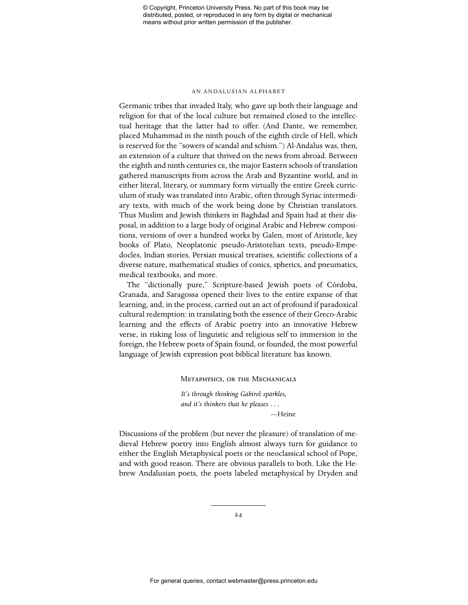# AN ANDALUSIAN ALPHABET

Germanic tribes that invaded Italy, who gave up both their language and religion for that of the local culture but remained closed to the intellectual heritage that the latter had to offer. (And Dante, we remember, placed Muhammad in the ninth pouch of the eighth circle of Hell, which is reserved for the "sowers of scandal and schism.") Al-Andalus was, then, an extension of a culture that thrived on the news from abroad. Between the eighth and ninth centuries CE, the major Eastern schools of translation gathered manuscripts from across the Arab and Byzantine world, and in either literal, literary, or summary form virtually the entire Greek curriculum of study was translated into Arabic, often through Syriac intermediary texts, with much of the work being done by Christian translators. Thus Muslim and Jewish thinkers in Baghdad and Spain had at their disposal, in addition to a large body of original Arabic and Hebrew compositions, versions of over a hundred works by Galen, most of Aristotle, key books of Plato, Neoplatonic pseudo-Aristotelian texts, pseudo-Empedocles, Indian stories, Persian musical treatises, scientific collections of a diverse nature, mathematical studies of conics, spherics, and pneumatics, medical textbooks, and more.

The "dictionally pure," Scripture-based Jewish poets of Córdoba, Granada, and Saragossa opened their lives to the entire expanse of that learning, and, in the process, carried out an act of profound if paradoxical cultural redemption: in translating both the essence of their Greco-Arabic learning and the effects of Arabic poetry into an innovative Hebrew verse, in risking loss of linguistic and religious self to immersion in the foreign, the Hebrew poets of Spain found, or founded, the most powerful language of Jewish expression post-biblical literature has known.

> METAPHYSICS, OR THE MECHANICALS *It's through thinking Gabirol sparkles, and it's thinkers that he pleases . . .* —Heine

Discussions of the problem (but never the pleasure) of translation of medieval Hebrew poetry into English almost always turn for guidance to either the English Metaphysical poets or the neoclassical school of Pope, and with good reason. There are obvious parallels to both. Like the Hebrew Andalusian poets, the poets labeled metaphysical by Dryden and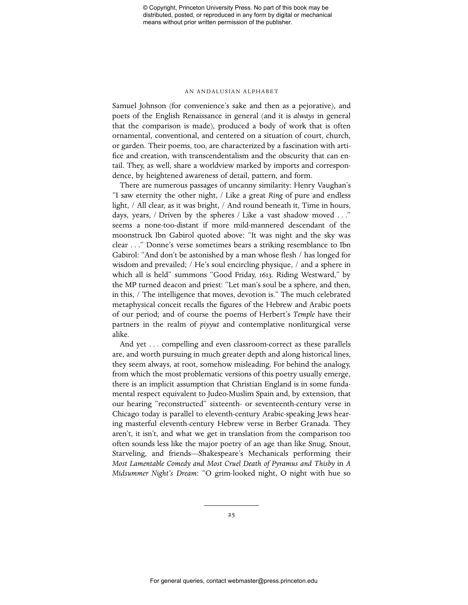## AN ANDALUSIAN ALPHABET

Samuel Johnson (for convenience's sake and then as a pejorative), and poets of the English Renaissance in general (and it is *always* in general that the comparison is made), produced a body of work that is often ornamental, conventional, and centered on a situation of court, church, or garden. Their poems, too, are characterized by a fascination with artifice and creation, with transcendentalism and the obscurity that can entail. They, as well, share a worldview marked by imports and correspondence, by heightened awareness of detail, pattern, and form.

There are numerous passages of uncanny similarity: Henry Vaughan's "I saw eternity the other night, / Like a great *Ring* of pure and endless light, / All clear, as it was bright, / And round beneath it, Time in hours, days, years, / Driven by the spheres / Like a vast shadow moved . . ." seems a none-too-distant if more mild-mannered descendant of the moonstruck Ibn Gabirol quoted above: "It was night and the sky was clear . . ." Donne's verse sometimes bears a striking resemblance to Ibn Gabirol: "And don't be astonished by a man whose flesh / has longed for wisdom and prevailed; / He's soul encircling physique, / and a sphere in which all is held" summons "Good Friday, 1613. Riding Westward," by the MP turned deacon and priest: "Let man's soul be a sphere, and then, in this, / The intelligence that moves, devotion is." The much celebrated metaphysical conceit recalls the figures of the Hebrew and Arabic poets of our period; and of course the poems of Herbert's *Temple* have their partners in the realm of *piyyut* and contemplative nonliturgical verse alike.

And yet . . . compelling and even classroom-correct as these parallels are, and worth pursuing in much greater depth and along historical lines, they seem always, at root, somehow misleading. For behind the analogy, from which the most problematic versions of this poetry usually emerge, there is an implicit assumption that Christian England is in some fundamental respect equivalent to Judeo-Muslim Spain and, by extension, that our hearing "reconstructed" sixteenth- or seventeenth-century verse in Chicago today is parallel to eleventh-century Arabic-speaking Jews hearing masterful eleventh-century Hebrew verse in Berber Granada. They aren't, it isn't, and what we get in translation from the comparison too often sounds less like the major poetry of an age than like Snug, Snout, Starveling, and friends—Shakespeare's Mechanicals performing their *Most Lamentable Comedy and Most Cruel Death of Pyramus and Thisby* in *A Midsummer Night's Dream*: "O grim-looked night, O night with hue so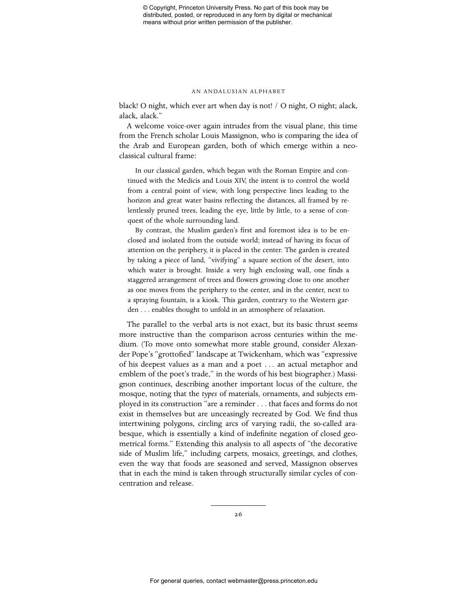## AN ANDALUSIAN ALPHABET

black! O night, which ever art when day is not! / O night, O night; alack, alack, alack."

A welcome voice-over again intrudes from the visual plane, this time from the French scholar Louis Massignon, who is comparing the idea of the Arab and European garden, both of which emerge within a neoclassical cultural frame:

In our classical garden, which began with the Roman Empire and continued with the Medicis and Louis XIV, the intent is to control the world from a central point of view, with long perspective lines leading to the horizon and great water basins reflecting the distances, all framed by relentlessly pruned trees, leading the eye, little by little, to a sense of conquest of the whole surrounding land.

By contrast, the Muslim garden's first and foremost idea is to be enclosed and isolated from the outside world; instead of having its focus of attention on the periphery, it is placed in the center. The garden is created by taking a piece of land, "vivifying" a square section of the desert, into which water is brought. Inside a very high enclosing wall, one finds a staggered arrangement of trees and flowers growing close to one another as one moves from the periphery to the center, and in the center, next to a spraying fountain, is a kiosk. This garden, contrary to the Western garden . . . enables thought to unfold in an atmosphere of relaxation.

The parallel to the verbal arts is not exact, but its basic thrust seems more instructive than the comparison across centuries within the medium. (To move onto somewhat more stable ground, consider Alexander Pope's "grottofied" landscape at Twickenham, which was "expressive of his deepest values as a man and a poet . . . an actual metaphor and emblem of the poet's trade," in the words of his best biographer.) Massignon continues, describing another important locus of the culture, the mosque, noting that the *types* of materials, ornaments, and subjects employed in its construction "are a reminder . . . that faces and forms do not exist in themselves but are unceasingly recreated by God. We find thus intertwining polygons, circling arcs of varying radii, the so-called arabesque, which is essentially a kind of indefinite negation of closed geometrical forms." Extending this analysis to all aspects of "the decorative side of Muslim life," including carpets, mosaics, greetings, and clothes, even the way that foods are seasoned and served, Massignon observes that in each the mind is taken through structurally similar cycles of concentration and release.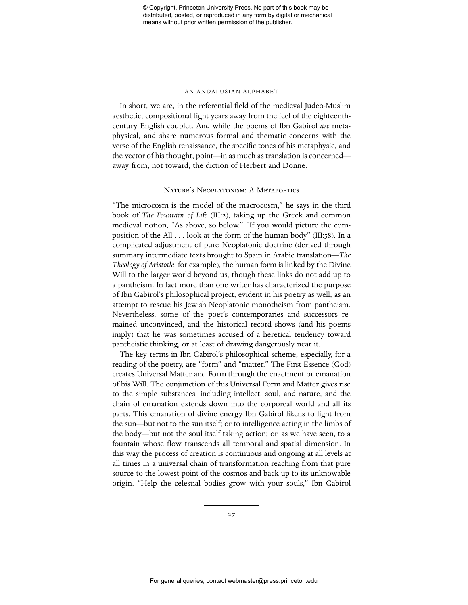## AN ANDALUSIAN ALPHABET

In short, we are, in the referential field of the medieval Judeo-Muslim aesthetic, compositional light years away from the feel of the eighteenthcentury English couplet. And while the poems of Ibn Gabirol *are* metaphysical, and share numerous formal and thematic concerns with the verse of the English renaissance, the specific tones of his metaphysic, and the vector of his thought, point—in as much as translation is concerned away from, not toward, the diction of Herbert and Donne.

## NATURE'S NEOPLATONISM: A METAPOETICS

"The microcosm is the model of the macrocosm," he says in the third book of *The Fountain of Life* (III:2), taking up the Greek and common medieval notion, "As above, so below." "If you would picture the composition of the All . . . look at the form of the human body" (III:58). In a complicated adjustment of pure Neoplatonic doctrine (derived through summary intermediate texts brought to Spain in Arabic translation—*The Theology of Aristotle*, for example), the human form is linked by the Divine Will to the larger world beyond us, though these links do not add up to a pantheism. In fact more than one writer has characterized the purpose of Ibn Gabirol's philosophical project, evident in his poetry as well, as an attempt to rescue his Jewish Neoplatonic monotheism from pantheism. Nevertheless, some of the poet's contemporaries and successors remained unconvinced, and the historical record shows (and his poems imply) that he was sometimes accused of a heretical tendency toward pantheistic thinking, or at least of drawing dangerously near it.

The key terms in Ibn Gabirol's philosophical scheme, especially, for a reading of the poetry, are "form" and "matter." The First Essence (God) creates Universal Matter and Form through the enactment or emanation of his Will. The conjunction of this Universal Form and Matter gives rise to the simple substances, including intellect, soul, and nature, and the chain of emanation extends down into the corporeal world and all its parts. This emanation of divine energy Ibn Gabirol likens to light from the sun—but not to the sun itself; or to intelligence acting in the limbs of the body—but not the soul itself taking action; or, as we have seen, to a fountain whose flow transcends all temporal and spatial dimension. In this way the process of creation is continuous and ongoing at all levels at all times in a universal chain of transformation reaching from that pure source to the lowest point of the cosmos and back up to its unknowable origin. "Help the celestial bodies grow with your souls," Ibn Gabirol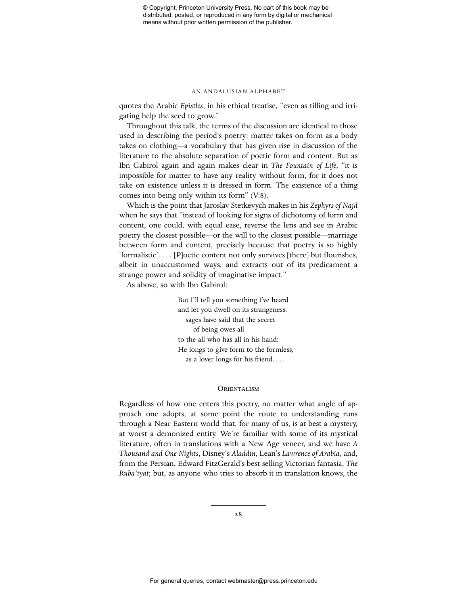# AN ANDALUSIAN ALPHABET

quotes the Arabic *Epistles*, in his ethical treatise, "even as tilling and irrigating help the seed to grow."

Throughout this talk, the terms of the discussion are identical to those used in describing the period's poetry: matter takes on form as a body takes on clothing—a vocabulary that has given rise in discussion of the literature to the absolute separation of poetic form and content. But as Ibn Gabirol again and again makes clear in *The Fountain of Life*, "it is impossible for matter to have any reality without form, for it does not take on existence unless it is dressed in form. The existence of a thing comes into being only within its form" (V:8).

Which is the point that Jaroslav Stetkevych makes in his *Zephyrs of Najd* when he says that "instead of looking for signs of dichotomy of form and content, one could, with equal ease, reverse the lens and see in Arabic poetry the closest possible—or the will to the closest possible—marriage between form and content, precisely because that poetry is so highly 'formalistic'. . . . [P]oetic content not only survives [there] but flourishes, albeit in unaccustomed ways, and extracts out of its predicament a strange power and solidity of imaginative impact."

As above, so with Ibn Gabirol:

But I'll tell you something I've heard and let you dwell on its strangeness: sages have said that the secret of being owes all to the all who has all in his hand: He longs to give form to the formless, as a lover longs for his friend....

#### **ORIENTALISM**

Regardless of how one enters this poetry, no matter what angle of approach one adopts, at some point the route to understanding runs through a Near Eastern world that, for many of us, is at best a mystery, at worst a demonized entity. We're familiar with some of its mystical literature, often in translations with a New Age veneer, and we have *A Thousand and One Nights*, Disney's *Aladdin*, Lean's *Lawrence of Arabia*, a nd, from the Persian, Edward FitzGerald's best-selling Victorian fantasia, *The Ruba'iyat*; but, as anyone who tries to absorb it in translation knows, the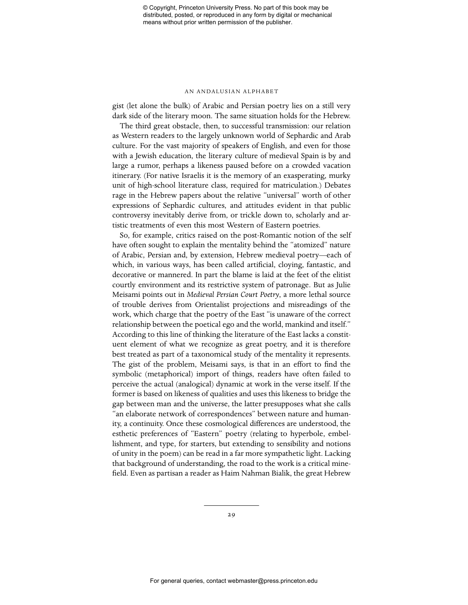#### AN ANDALUSIAN ALPHABET

gist (let alone the bulk) of Arabic and Persian poetry lies on a still very dark side of the literary moon. The same situation holds for the Hebrew.

The third great obstacle, then, to successful transmission: our relation as Western readers to the largely unknown world of Sephardic and Arab culture. For the vast majority of speakers of English, and even for those with a Jewish education, the literary culture of medieval Spain is by and large a rumor, perhaps a likeness paused before on a crowded vacation itinerary. (For native Israelis it is the memory of an exasperating, murky unit of high-school literature class, required for matriculation.) Debates rage in the Hebrew papers about the relative "universal" worth of other expressions of Sephardic cultures, and attitudes evident in that public controversy inevitably derive from, or trickle down to, scholarly and artistic treatments of even this most Western of Eastern poetries.

So, for example, critics raised on the post-Romantic notion of the self have often sought to explain the mentality behind the "atomized" nature of Arabic, Persian and, by extension, Hebrew medieval poetry—each of which, in various ways, has been called artificial, cloying, fantastic, and decorative or mannered. In part the blame is laid at the feet of the elitist courtly environment and its restrictive system of patronage. But as Julie Meisami points out in *Medieval Persian Court Poetry*, amore lethal source of trouble derives from Orientalist projections and misreadings of the work, which charge that the poetry of the East "is unaware of the correct relationship between the poetical ego and the world, mankind and itself." According to this line of thinking the literature of the East lacks a constituent element of what we recognize as great poetry, and it is therefore best treated as part of a taxonomical study of the mentality it represents. The gist of the problem, Meisami says, is that in an effort to find the symbolic (metaphorical) import of things, readers have often failed to perceive the actual (analogical) dynamic at work in the verse itself. If the former is based on likeness of qualities and uses this likeness to bridge the gap between man and the universe, the latter presupposes what she calls "an elaborate network of correspondences" between nature and humanity, a continuity. Once these cosmological differences are understood, the esthetic preferences of "Eastern" poetry (relating to hyperbole, embellishment, and type, for starters, but extending to sensibility and notions of unity in the poem) can be read in a far more sympathetic light. Lacking that background of understanding, the road to the work is a critical minefield. Even as partisan a reader as Haim Nahman Bialik, the great Hebrew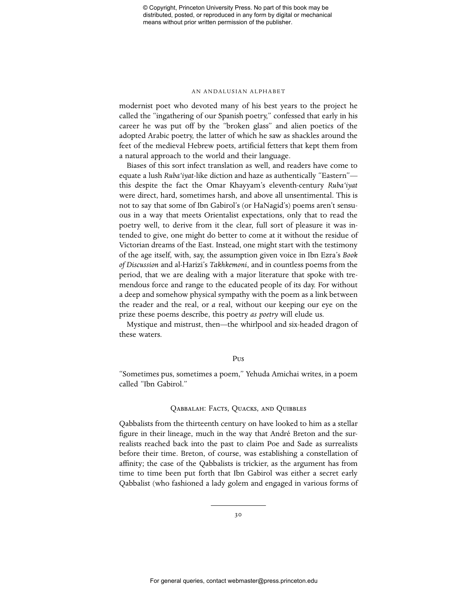## AN ANDALUSIAN ALPHABET

modernist poet who devoted many of his best years to the project he called the "ingathering of our Spanish poetry," confessed that early in his career he was put off by the "broken glass" and alien poetics of the adopted Arabic poetry, the latter of which he saw as shackles around the feet of the medieval Hebrew poets, artificial fetters that kept them from a natural approach to the world and their language.

Biases of this sort infect translation as well, and readers have come to equate a lush *Ruba'iyat-*like diction and haze as authentically "Eastern" this despite the fact the Omar Khayyam's eleventh-century *Ruba'iyat* were direct, hard, sometimes harsh, and above all unsentimental. This is not to say that some of Ibn Gabirol's (or HaNagid's) poems aren't sensuous in a way that meets Orientalist expectations, only that to read the poetry well, to derive from it the clear, full sort of pleasure it was intended to give, one might do better to come at it without the residue of Victorian dreams of the East. Instead, one might start with the testimony of the age itself, with, say, the assumption given voice in Ibn Ezra's *Book of Discussion* and al-Harizi's *Takhkemoni*, and in countless poems from the period, that we are dealing with a major literature that spoke with tremendous force and range to the educated people of its day. For without a deep and somehow physical sympathy with the poem as a link between the reader and the real, or *a* real, without our keeping our eye on the prize these poems describe, this poetry *as poetry* will elude us.

Mystique and mistrust, then—the whirlpool and six-headed dragon of these waters.

#### PUS

"Sometimes pus, sometimes a poem," Yehuda Amichai writes, in a poem called "Ibn Gabirol."

#### QABBALAH: FACTS, QUACKS, AND QUIBBLES

Qabbalists from the thirteenth century on have looked to him as a stellar figure in their lineage, much in the way that André Breton and the surrealists reached back into the past to claim Poe and Sade as surrealists before their time. Breton, of course, was establishing a constellation of affinity; the case of the Qabbalists is trickier, as the argument has from time to time been put forth that Ibn Gabirol was either a secret early Qabbalist (who fashioned a lady golem and engaged in various forms of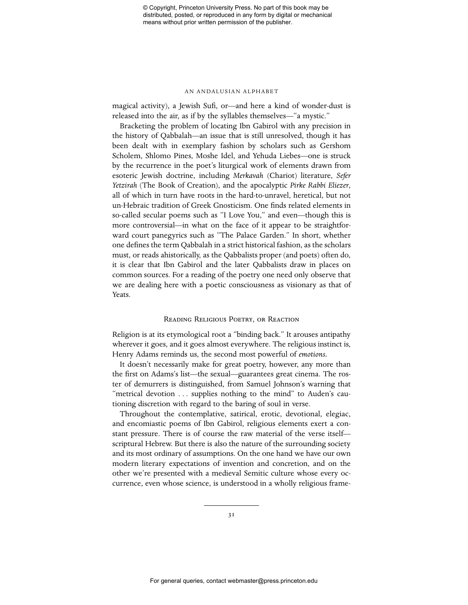## AN ANDALUSIAN ALPHABET

magical activity), a Jewish Sufi, or—and here a kind of wonder-dust is released into the air, as if by the syllables themselves—"a mystic."

Bracketing the problem of locating Ibn Gabirol with any precision in the history of Qabbalah—an issue that is still unresolved, though it has been dealt with in exemplary fashion by scholars such as Gershom Scholem, Shlomo Pines, Moshe Idel, and Yehuda Liebes—one is struck by the recurrence in the poet's liturgical work of elements drawn from esoteric Jewish doctrine, including *Merkavah* (Chariot) literature, *Sefer Yetzirah* (The Book of Creation), and the apocalyptic *Pirke Rabbi Eliezer*, all of which in turn have roots in the hard-to-unravel, heretical, but not un-Hebraic tradition of Greek Gnosticism. One finds related elements in so-called secular poems such as "I Love You," and even—though this is more controversial—in what on the face of it appear to be straightforward court panegyrics such as "The Palace Garden." In short, whether one defines the term Qabbalah in a strict historical fashion, as the scholars must, or reads ahistorically, as the Qabbalists proper (and poets) often do, it is clear that Ibn Gabirol and the later Qabbalists draw in places on common sources. For a reading of the poetry one need only observe that we are dealing here with a poetic consciousness as visionary as that of Yeats.

#### READING RELIGIOUS POETRY, OR REACTION

Religion is at its etymological root a "binding back." It arouses antipathy wherever it goes, and it goes almost everywhere. The religious instinct is, Henry Adams reminds us, the second most powerful of *emotions.*

It doesn't necessarily make for great poetry, however, any more than the first on Adams's list—the sexual—guarantees great cinema. The roster of demurrers is distinguished, from Samuel Johnson's warning that "metrical devotion . . . supplies nothing to the mind" to Auden's cautioning discretion with regard to the baring of soul in verse.

Throughout the contemplative, satirical, erotic, devotional, elegiac, and encomiastic poems of Ibn Gabirol, religious elements exert a constant pressure. There is of course the raw material of the verse itself scriptural Hebrew. But there is also the nature of the surrounding society and its most ordinary of assumptions. On the one hand we have our own modern literary expectations of invention and concretion, and on the other we're presented with a medieval Semitic culture whose every occurrence, even whose science, is understood in a wholly religious frame-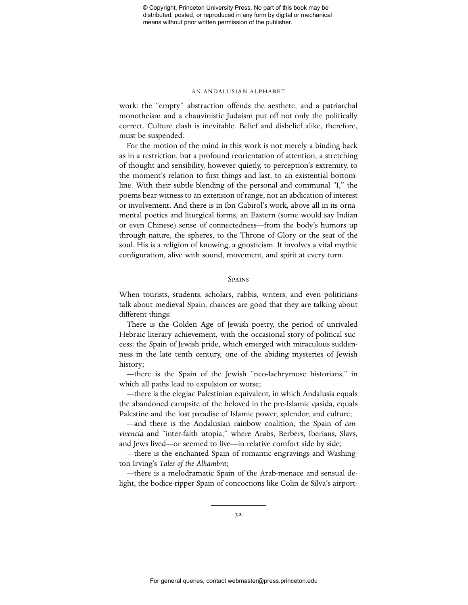## AN ANDALUSIAN ALPHABET

work: the "empty" abstraction offends the aesthete, and a patriarchal monotheism and a chauvinistic Judaism put off not only the politically correct. Culture clash is inevitable. Belief and disbelief alike, therefore, must be suspended.

For the motion of the mind in this work is not merely a binding back as in a restriction, but a profound reorientation of attention, a stretching of thought and sensibility, however quietly, to perception's extremity, to the moment's relation to first things and last, to an existential bottomline. With their subtle blending of the personal and communal "I," the poems bear witness to an extension of range, not an abdication of interest or involvement. And there is in Ibn Gabirol's work, above all in its ornamental poetics and liturgical forms, an Eastern (some would say Indian or even Chinese) sense of connectedness—from the body's humors up through nature, the spheres, to the Throne of Glory or the seat of the soul. His is a religion of knowing, a gnosticism. It involves a vital mythic configuration, alive with sound, movement, and spirit at every turn.

#### SPAINS

When tourists, students, scholars, rabbis, writers, and even politicians talk about medieval Spain, chances are good that they are talking about different things:

There is the Golden Age of Jewish poetry, the period of unrivaled Hebraic literary achievement, with the occasional story of political success: the Spain of Jewish pride, which emerged with miraculous suddenness in the late tenth century, one of the abiding mysteries of Jewish history;

—there is the Spain of the Jewish "neo-lachrymose historians," in which all paths lead to expulsion or worse;

—there is the elegiac Palestinian equivalent, in which Andalusia equals the abandoned campsite of the beloved in the pre-Islamic qasida, equals Palestine and the lost paradise of Islamic power, splendor, and culture;

—and there is the Andalusian rainbow coalition, the Spain of *convivencia* and "inter-faith utopia," where Arabs, Berbers, Iberians, Slavs, and Jews lived—or seemed to live—in relative comfort side by side;

—there is the enchanted Spain of romantic engravings and Washington Irving's *Tales of the Alhambra*;

—there is a melodramatic Spain of the Arab-menace and sensual delight, the bodice-ripper Spain of concoctions like Colin de Silva's airport-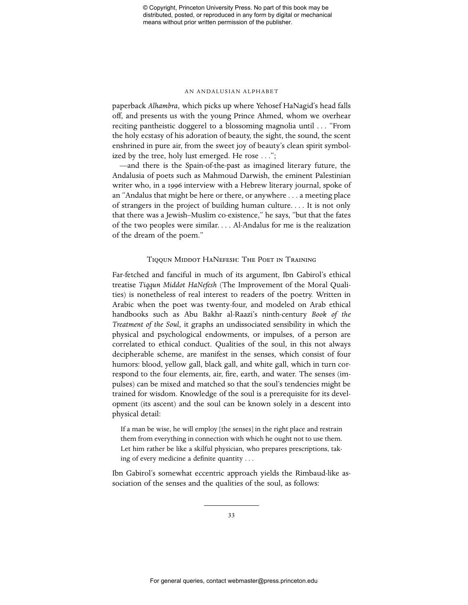# AN ANDALUSIAN ALPHABET

paperback *Alhambra*, which picks up where Yehosef HaNagid's head falls off, and presents us with the young Prince Ahmed, whom we overhear reciting pantheistic doggerel to a blossoming magnolia until . . . "From the holy ecstasy of his adoration of beauty, the sight, the sound, the scent enshrined in pure air, from the sweet joy of beauty's clean spirit symbolized by the tree, holy lust emerged. He rose . . .";

—and there is the Spain-of-the-past as imagined literary future, the Andalusia of poets such as Mahmoud Darwish, the eminent Palestinian writer who, in a 1996 interview with a Hebrew literary journal, spoke of an "Andalus that might be here or there, or anywhere . . . a meeting place of strangers in the project of building human culture. . . . It is not only that there was a Jewish–Muslim co-existence," he says, "but that the fates of the two peoples were similar. . . . Al-Andalus for me is the realization of the dream of the poem."

## TIQQUN MIDDOT HANEFESH: THE POET IN TRAINING

Far-fetched and fanciful in much of its argument, Ibn Gabirol's ethical treatise *Tiqqun Middot HaNefesh* (The Improvement of the Moral Qualities) is nonetheless of real interest to readers of the poetry. Written in Arabic when the poet was twenty-four, and modeled on Arab ethical handbooks such as Abu Bakhr al-Raazi's ninth-century *Book of the Treatment of the Soul*, it graphs an undissociated sensibility in which the physical and psychological endowments, or impulses, of a person are correlated to ethical conduct. Qualities of the soul, in this not always decipherable scheme, are manifest in the senses, which consist of four humors: blood, yellow gall, black gall, and white gall, which in turn correspond to the four elements, air, fire, earth, and water. The senses (impulses) can be mixed and matched so that the soul's tendencies might be trained for wisdom. Knowledge of the soul is a prerequisite for its development (its ascent) and the soul can be known solely in a descent into physical detail:

If a man be wise, he will employ [the senses] in the right place and restrain them from everything in connection with which he ought not to use them. Let him rather be like a skilful physician, who prepares prescriptions, taking of every medicine a definite quantity . . .

Ibn Gabirol's somewhat eccentric approach yields the Rimbaud-like association of the senses and the qualities of the soul, as follows: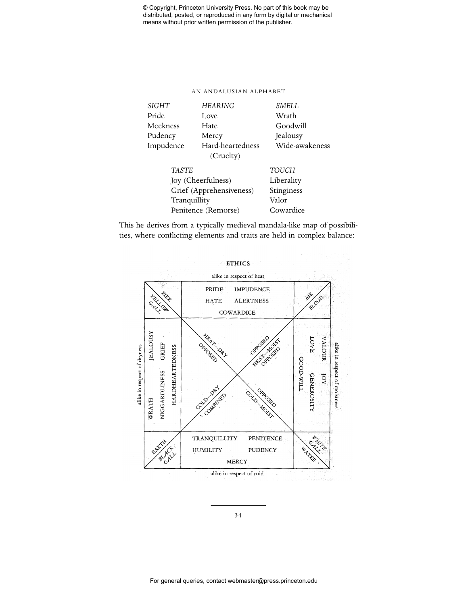## AN ANDALUSIAN ALPHABET

| <i>SIGHT</i>             | <b>HEARING</b>   | SMELL          |
|--------------------------|------------------|----------------|
| Pride                    | Love             | Wrath          |
| Meekness                 | Hate             | Goodwill       |
| Pudency                  | Mercy            | Jealousy       |
| Impudence                | Hard-heartedness | Wide-awakeness |
|                          | (Cruelty)        |                |
| <b>TASTE</b>             |                  | <b>TOUCH</b>   |
| Joy (Cheerfulness)       |                  | Liberality     |
| Grief (Apprehensiveness) |                  | Stinginess     |
| Tranquillity             |                  | Valor          |
| Penitence (Remorse)      |                  | Cowardice      |
|                          |                  |                |

This he derives from a typically medieval mandala-like map of possibilities, where conflicting elements and traits are held in complex balance:

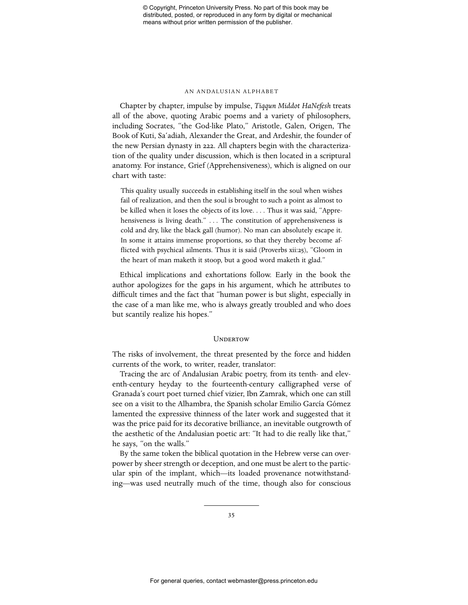# AN ANDALUSIAN ALPHABET

Chapter by chapter, impulse by impulse, *Tiqqun Middot HaNefesh* treats all of the above, quoting Arabic poems and a variety of philosophers, including Socrates, "the God-like Plato," Aristotle, Galen, Origen, The Book of Kuti, Sa'adiah, Alexander the Great, and Ardeshir, the founder of the new Persian dynasty in 222. All chapters begin with the characterization of the quality under discussion, which is then located in a scriptural anatomy. For instance, Grief (Apprehensiveness), which is aligned on our chart with taste:

This quality usually succeeds in establishing itself in the soul when wishes fail of realization, and then the soul is brought to such a point as almost to be killed when it loses the objects of its love. . . . Thus it was said, "Apprehensiveness is living death." . . . The constitution of apprehensiveness is cold and dry, like the black gall (humor). No man can absolutely escape it. In some it attains immense proportions, so that they thereby become afflicted with psychical ailments. Thus it is said (Proverbs xii:25), "Gloom in the heart of man maketh it stoop, but a good word maketh it glad."

Ethical implications and exhortations follow. Early in the book the author apologizes for the gaps in his argument, which he attributes to difficult times and the fact that "human power is but slight, especially in the case of a man like me, who is always greatly troubled and who does but scantily realize his hopes."

## **UNDERTOW**

The risks of involvement, the threat presented by the force and hidden currents of the work, to writer, reader, translator:

Tracing the arc of Andalusian Arabic poetry, from its tenth- and eleventh-century heyday to the fourteenth-century calligraphed verse of Granada's court poet turned chief vizier, Ibn Zamrak, which one can still see on a visit to the Alhambra, the Spanish scholar Emilio García Gómez lamented the expressive thinness of the later work and suggested that it was the price paid for its decorative brilliance, an inevitable outgrowth of the aesthetic of the Andalusian poetic art: "It had to die really like that," he says, "on the walls."

By the same token the biblical quotation in the Hebrew verse can overpower by sheer strength or deception, and one must be alert to the particular spin of the implant, which—its loaded provenance notwithstanding—was used neutrally much of the time, though also for conscious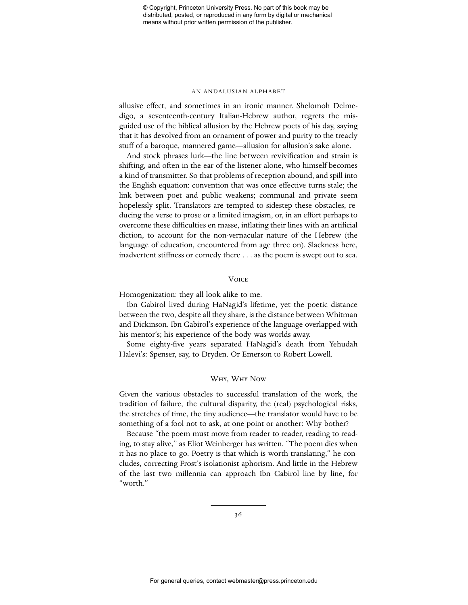#### AN ANDALUSIAN ALPHABET

allusive effect, and sometimes in an ironic manner. Shelomoh Delmedigo, a seventeenth-century Italian-Hebrew author, regrets the misguided use of the biblical allusion by the Hebrew poets of his day, saying that it has devolved from an ornament of power and purity to the treacly stuff of a baroque, mannered game—allusion for allusion's sake alone.

And stock phrases lurk—the line between revivification and strain is shifting, and often in the ear of the listener alone, who himself becomes a kind of transmitter. So that problems of reception abound, and spill into the English equation: convention that was once effective turns stale; the link between poet and public weakens; communal and private seem hopelessly split. Translators are tempted to sidestep these obstacles, reducing the verse to prose or a limited imagism, or, in an effort perhaps to overcome these difficulties en masse, inflating their lines with an artificial diction, to account for the non-vernacular nature of the Hebrew (the language of education, encountered from age three on). Slackness here, inadvertent stiffness or comedy there . . . as the poem is swept out to sea.

#### VOICE

Homogenization: they all look alike to me.

Ibn Gabirol lived during HaNagid's lifetime, yet the poetic distance between the two, despite all they share, is the distance between Whitman and Dickinson. Ibn Gabirol's experience of the language overlapped with his mentor's; his experience of the body was worlds away.

Some eighty-five years separated HaNagid's death from Yehudah Halevi's: Spenser, say, to Dryden. Or Emerson to Robert Lowell.

## WHY, WHY NOW

Given the various obstacles to successful translation of the work, the tradition of failure, the cultural disparity, the (real) psychological risks, the stretches of time, the tiny audience—the translator would have to be something of a fool not to ask, at one point or another: Why bother?

Because "the poem must move from reader to reader, reading to reading, to stay alive," as Eliot Weinberger has written. "The poem dies when it has no place to go. Poetry is that which is worth translating," he concludes, correcting Frost's isolationist aphorism. And little in the Hebrew of the last two millennia can approach Ibn Gabirol line by line, for "worth."